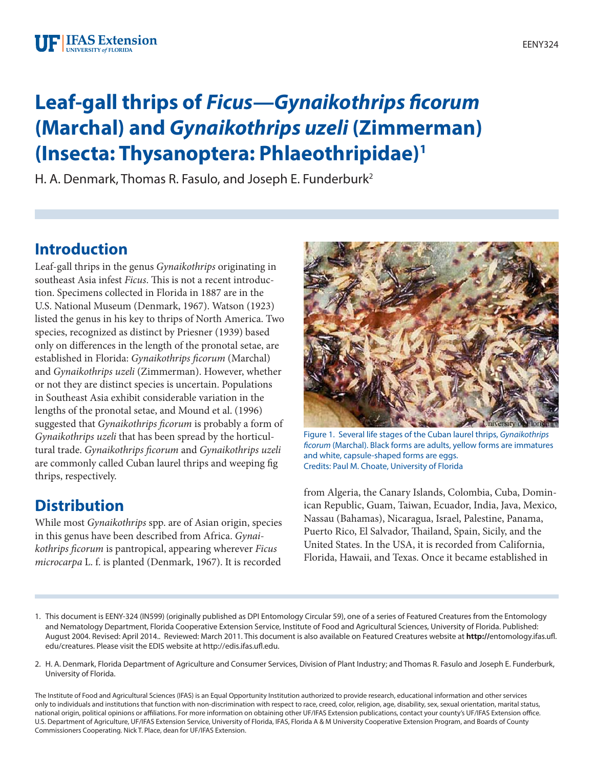# **Leaf-gall thrips of** *Ficus***—***Gynaikothrips ficorum* **(Marchal) and** *Gynaikothrips uzeli* **(Zimmerman) (Insecta: Thysanoptera: Phlaeothripidae)1**

H. A. Denmark, Thomas R. Fasulo, and Joseph E. Funderburk<sup>2</sup>

# **Introduction**

Leaf-gall thrips in the genus *Gynaikothrips* originating in southeast Asia infest *Ficus*. This is not a recent introduction. Specimens collected in Florida in 1887 are in the U.S. National Museum (Denmark, 1967). Watson (1923) listed the genus in his key to thrips of North America. Two species, recognized as distinct by Priesner (1939) based only on differences in the length of the pronotal setae, are established in Florida: *Gynaikothrips ficorum* (Marchal) and *Gynaikothrips uzeli* (Zimmerman). However, whether or not they are distinct species is uncertain. Populations in Southeast Asia exhibit considerable variation in the lengths of the pronotal setae, and Mound et al. (1996) suggested that *Gynaikothrips ficorum* is probably a form of *Gynaikothrips uzeli* that has been spread by the horticultural trade. *Gynaikothrips ficorum* and *Gynaikothrips uzeli* are commonly called Cuban laurel thrips and weeping fig thrips, respectively.

#### **Distribution**

While most *Gynaikothrips* spp. are of Asian origin, species in this genus have been described from Africa. *Gynaikothrips ficorum* is pantropical, appearing wherever *Ficus microcarpa* L. f. is planted (Denmark, 1967). It is recorded



Figure 1. Several life stages of the Cuban laurel thrips, *Gynaikothrips ficorum* (Marchal). Black forms are adults, yellow forms are immatures and white, capsule-shaped forms are eggs. Credits: Paul M. Choate, University of Florida

from Algeria, the Canary Islands, Colombia, Cuba, Dominican Republic, Guam, Taiwan, Ecuador, India, Java, Mexico, Nassau (Bahamas), Nicaragua, Israel, Palestine, Panama, Puerto Rico, El Salvador, Thailand, Spain, Sicily, and the United States. In the USA, it is recorded from California, Florida, Hawaii, and Texas. Once it became established in

- 1. This document is EENY-324 (IN599) (originally published as DPI Entomology Circular 59), one of a series of Featured Creatures from the Entomology and Nematology Department, Florida Cooperative Extension Service, Institute of Food and Agricultural Sciences, University of Florida. Published: August 2004. Revised: April 2014.. Reviewed: March 2011. This document is also available on Featured Creatures website at **http://**entomology.ifas.ufl. edu/creatures. Please visit the EDIS website at http://edis.ifas.ufl.edu.
- 2. H. A. Denmark, Florida Department of Agriculture and Consumer Services, Division of Plant Industry; and Thomas R. Fasulo and Joseph E. Funderburk, University of Florida.

The Institute of Food and Agricultural Sciences (IFAS) is an Equal Opportunity Institution authorized to provide research, educational information and other services only to individuals and institutions that function with non-discrimination with respect to race, creed, color, religion, age, disability, sex, sexual orientation, marital status, national origin, political opinions or affiliations. For more information on obtaining other UF/IFAS Extension publications, contact your county's UF/IFAS Extension office. U.S. Department of Agriculture, UF/IFAS Extension Service, University of Florida, IFAS, Florida A & M University Cooperative Extension Program, and Boards of County Commissioners Cooperating. Nick T. Place, dean for UF/IFAS Extension.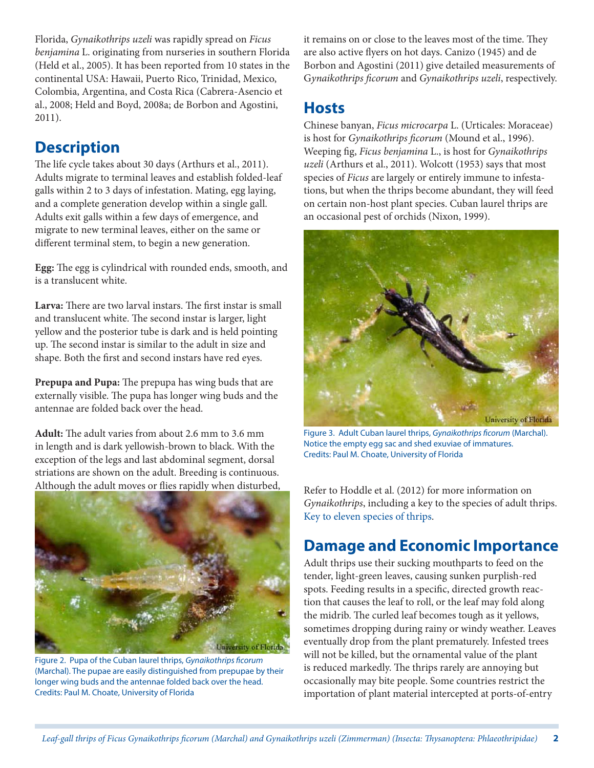Florida, *Gynaikothrips uzeli* was rapidly spread on *Ficus benjamina* L. originating from nurseries in southern Florida (Held et al., 2005). It has been reported from 10 states in the continental USA: Hawaii, Puerto Rico, Trinidad, Mexico, Colombia, Argentina, and Costa Rica (Cabrera-Asencio et al., 2008; Held and Boyd, 2008a; de Borbon and Agostini, 2011).

# **Description**

The life cycle takes about 30 days (Arthurs et al., 2011). Adults migrate to terminal leaves and establish folded-leaf galls within 2 to 3 days of infestation. Mating, egg laying, and a complete generation develop within a single gall. Adults exit galls within a few days of emergence, and migrate to new terminal leaves, either on the same or different terminal stem, to begin a new generation.

**Egg:** The egg is cylindrical with rounded ends, smooth, and is a translucent white.

**Larva:** There are two larval instars. The first instar is small and translucent white. The second instar is larger, light yellow and the posterior tube is dark and is held pointing up. The second instar is similar to the adult in size and shape. Both the first and second instars have red eyes.

**Prepupa and Pupa:** The prepupa has wing buds that are externally visible. The pupa has longer wing buds and the antennae are folded back over the head.

**Adult:** The adult varies from about 2.6 mm to 3.6 mm in length and is dark yellowish-brown to black. With the exception of the legs and last abdominal segment, dorsal striations are shown on the adult. Breeding is continuous. Although the adult moves or flies rapidly when disturbed,



Figure 2. Pupa of the Cuban laurel thrips, *Gynaikothrips ficorum* (Marchal). The pupae are easily distinguished from prepupae by their longer wing buds and the antennae folded back over the head. Credits: Paul M. Choate, University of Florida

it remains on or close to the leaves most of the time. They are also active flyers on hot days. Canizo (1945) and de Borbon and Agostini (2011) give detailed measurements of G*ynaikothrips ficorum* and *Gynaikothrips uzeli*, respectively.

### **Hosts**

Chinese banyan, *Ficus microcarpa* L. (Urticales: Moraceae) is host for *Gynaikothrips ficorum* (Mound et al., 1996). Weeping fig, *Ficus benjamina* L., is host for *Gynaikothrips uzeli* (Arthurs et al., 2011). Wolcott (1953) says that most species of *Ficus* are largely or entirely immune to infestations, but when the thrips become abundant, they will feed on certain non-host plant species. Cuban laurel thrips are an occasional pest of orchids (Nixon, 1999).



Figure 3. Adult Cuban laurel thrips, *Gynaikothrips ficorum* (Marchal). Notice the empty egg sac and shed exuviae of immatures. Credits: Paul M. Choate, University of Florida

Refer to Hoddle et al. (2012) for more information on *Gynaikothrips*, including a key to the species of adult thrips. Key to eleven species of thrips.

# **Damage and Economic Importance**

Adult thrips use their sucking mouthparts to feed on the tender, light-green leaves, causing sunken purplish-red spots. Feeding results in a specific, directed growth reaction that causes the leaf to roll, or the leaf may fold along the midrib. The curled leaf becomes tough as it yellows, sometimes dropping during rainy or windy weather. Leaves eventually drop from the plant prematurely. Infested trees will not be killed, but the ornamental value of the plant is reduced markedly. The thrips rarely are annoying but occasionally may bite people. Some countries restrict the importation of plant material intercepted at ports-of-entry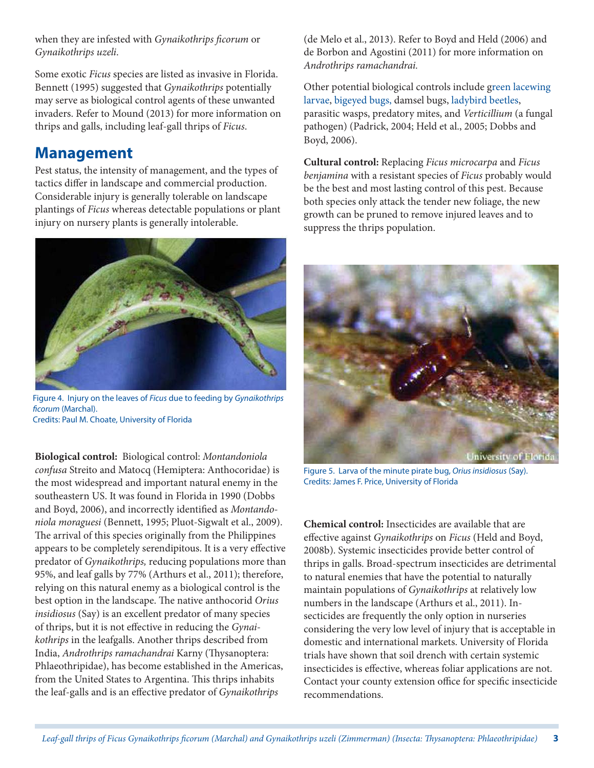when they are infested with *Gynaikothrips ficorum* or *Gynaikothrips uzeli*.

Some exotic *Ficus* species are listed as invasive in Florida. Bennett (1995) suggested that *Gynaikothrips* potentially may serve as biological control agents of these unwanted invaders. Refer to Mound (2013) for more information on thrips and galls, including leaf-gall thrips of *Ficus*.

#### **Management**

Pest status, the intensity of management, and the types of tactics differ in landscape and commercial production. Considerable injury is generally tolerable on landscape plantings of *Ficus* whereas detectable populations or plant injury on nursery plants is generally intolerable.



Figure 4. Injury on the leaves of *Ficus* due to feeding by *Gynaikothrips ficorum* (Marchal). Credits: Paul M. Choate, University of Florida

**Biological control:** Biological control: *Montandoniola confusa* Streito and Matocq (Hemiptera: Anthocoridae) is the most widespread and important natural enemy in the southeastern US. It was found in Florida in 1990 (Dobbs and Boyd, 2006), and incorrectly identified as *Montandoniola moraguesi* (Bennett, 1995; Pluot-Sigwalt et al., 2009). The arrival of this species originally from the Philippines appears to be completely serendipitous. It is a very effective predator of *Gynaikothrips,* reducing populations more than 95%, and leaf galls by 77% (Arthurs et al., 2011); therefore, relying on this natural enemy as a biological control is the best option in the landscape. The native anthocorid *Orius insidiosus* (Say) is an excellent predator of many species of thrips, but it is not effective in reducing the *Gynaikothrips* in the leafgalls. Another thrips described from India, *Androthrips ramachandrai* Karny (Thysanoptera: Phlaeothripidae), has become established in the Americas, from the United States to Argentina. This thrips inhabits the leaf-galls and is an effective predator of *Gynaikothrips*

(de Melo et al., 2013). Refer to Boyd and Held (2006) and de Borbon and Agostini (2011) for more information on *Androthrips ramachandrai.*

Other potential biological controls include green lacewing larvae, bigeyed bugs, damsel bugs, ladybird beetles, parasitic wasps, predatory mites, and *Verticillium* (a fungal pathogen) (Padrick, 2004; Held et al., 2005; Dobbs and Boyd, 2006).

**Cultural control:** Replacing *Ficus microcarpa* and *Ficus benjamina* with a resistant species of *Ficus* probably would be the best and most lasting control of this pest. Because both species only attack the tender new foliage, the new growth can be pruned to remove injured leaves and to suppress the thrips population.



Figure 5. Larva of the minute pirate bug, *Orius insidiosus* (Say). Credits: James F. Price, University of Florida

**Chemical control:** Insecticides are available that are effective against *Gynaikothrips* on *Ficus* (Held and Boyd, 2008b). Systemic insecticides provide better control of thrips in galls. Broad-spectrum insecticides are detrimental to natural enemies that have the potential to naturally maintain populations of *Gynaikothrips* at relatively low numbers in the landscape (Arthurs et al., 2011). Insecticides are frequently the only option in nurseries considering the very low level of injury that is acceptable in domestic and international markets. University of Florida trials have shown that soil drench with certain systemic insecticides is effective, whereas foliar applications are not. Contact your county extension office for specific insecticide recommendations.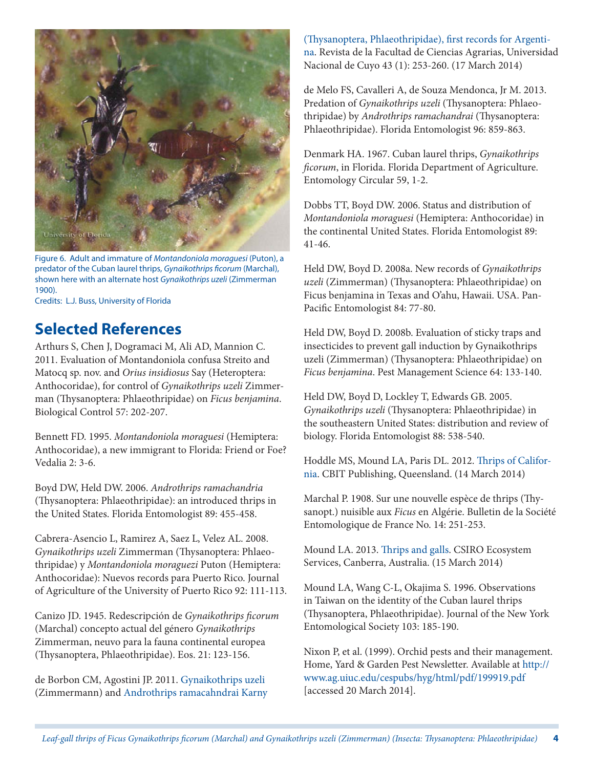

Figure 6. Adult and immature of *Montandoniola moraguesi* (Puton), a predator of the Cuban laurel thrips, *Gynaikothrips ficorum* (Marchal), shown here with an alternate host *Gynaikothrips uzeli* (Zimmerman 1900).

Credits: L.J. Buss, University of Florida

#### **Selected References**

Arthurs S, Chen J, Dogramaci M, Ali AD, Mannion C. 2011. Evaluation of Montandoniola confusa Streito and Matocq sp. nov. and *Orius insidiosus* Say (Heteroptera: Anthocoridae), for control of *Gynaikothrips uzeli* Zimmerman (Thysanoptera: Phlaeothripidae) on *Ficus benjamina*. Biological Control 57: 202-207.

Bennett FD. 1995. *Montandoniola moraguesi* (Hemiptera: Anthocoridae), a new immigrant to Florida: Friend or Foe? Vedalia 2: 3-6.

Boyd DW, Held DW. 2006. *Androthrips ramachandria* (Thysanoptera: Phlaeothripidae): an introduced thrips in the United States. Florida Entomologist 89: 455-458.

Cabrera-Asencio L, Ramirez A, Saez L, Velez AL. 2008. *Gynaikothrips uzeli* Zimmerman (Thysanoptera: Phlaeothripidae) y *Montandoniola moraguezi* Puton (Hemiptera: Anthocoridae): Nuevos records para Puerto Rico. Journal of Agriculture of the University of Puerto Rico 92: 111-113.

Canizo JD. 1945. Redescripción de *Gynaikothrips ficorum* (Marchal) concepto actual del género *Gynaikothrips* Zimmerman, neuvo para la fauna continental europea (Thysanoptera, Phlaeothripidae). Eos. 21: 123-156.

de Borbon CM, Agostini JP. 2011. Gynaikothrips uzeli (Zimmermann) and Androthrips ramacahndrai Karny

#### (Thysanoptera, Phlaeothripidae), first records for Argentina. Revista de la Facultad de Ciencias Agrarias, Universidad Nacional de Cuyo 43 (1): 253-260. (17 March 2014)

de Melo FS, Cavalleri A, de Souza Mendonca, Jr M. 2013. Predation of *Gynaikothrips uzeli* (Thysanoptera: Phlaeothripidae) by *Androthrips ramachandrai* (Thysanoptera: Phlaeothripidae). Florida Entomologist 96: 859-863.

Denmark HA. 1967. Cuban laurel thrips, *Gynaikothrips ficorum*, in Florida. Florida Department of Agriculture. Entomology Circular 59, 1-2.

Dobbs TT, Boyd DW. 2006. Status and distribution of *Montandoniola moraguesi* (Hemiptera: Anthocoridae) in the continental United States. Florida Entomologist 89: 41-46.

Held DW, Boyd D. 2008a. New records of *Gynaikothrips uzeli* (Zimmerman) (Thysanoptera: Phlaeothripidae) on Ficus benjamina in Texas and O'ahu, Hawaii. USA. Pan-Pacific Entomologist 84: 77-80.

Held DW, Boyd D. 2008b. Evaluation of sticky traps and insecticides to prevent gall induction by Gynaikothrips uzeli (Zimmerman) (Thysanoptera: Phlaeothripidae) on *Ficus benjamina*. Pest Management Science 64: 133-140.

Held DW, Boyd D, Lockley T, Edwards GB. 2005. *Gynaikothrips uzeli* (Thysanoptera: Phlaeothripidae) in the southeastern United States: distribution and review of biology. Florida Entomologist 88: 538-540.

Hoddle MS, Mound LA, Paris DL. 2012. Thrips of California. CBIT Publishing, Queensland. (14 March 2014)

Marchal P. 1908. Sur une nouvelle espèce de thrips (Thysanopt.) nuisible aux *Ficus* en Algérie. Bulletin de la Société Entomologique de France No. 14: 251-253.

Mound LA. 2013. Thrips and galls. CSIRO Ecosystem Services, Canberra, Australia. (15 March 2014)

Mound LA, Wang C-L, Okajima S. 1996. Observations in Taiwan on the identity of the Cuban laurel thrips (Thysanoptera, Phlaeothripidae). Journal of the New York Entomological Society 103: 185-190.

Nixon P, et al. (1999). Orchid pests and their management. Home, Yard & Garden Pest Newsletter. Available at http:// www.ag.uiuc.edu/cespubs/hyg/html/pdf/199919.pdf [accessed 20 March 2014].